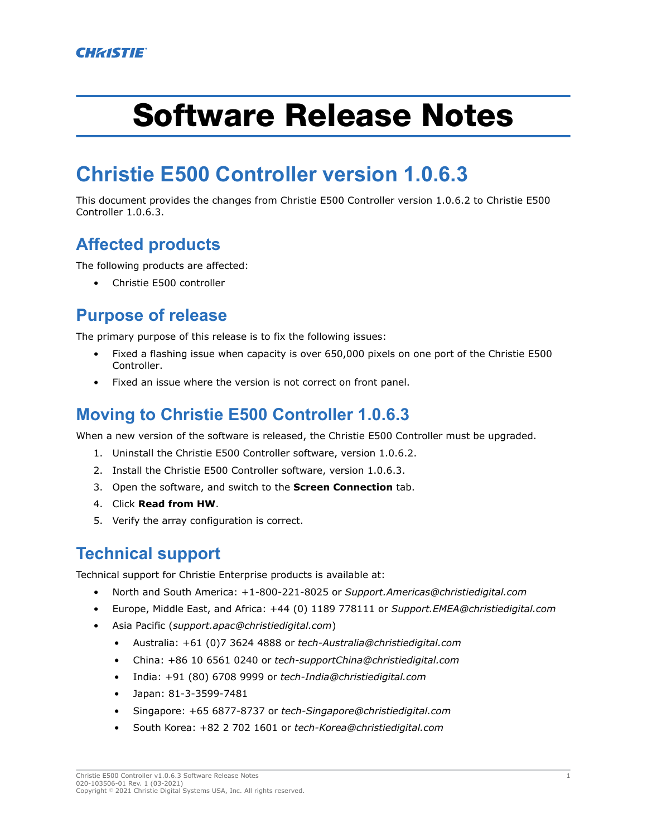# Software Release Notes

# **Christie E500 Controller version 1.0.6.3**

This document provides the changes from Christie E500 Controller version 1.0.6.2 to Christie E500 Controller 1.0.6.3.

### **Affected products**

The following products are affected:

• Christie E500 controller

#### **Purpose of release**

The primary purpose of this release is to fix the following issues:

- Fixed a flashing issue when capacity is over 650,000 pixels on one port of the Christie E500 Controller.
- Fixed an issue where the version is not correct on front panel.

#### **Moving to Christie E500 Controller 1.0.6.3**

When a new version of the software is released, the Christie E500 Controller must be upgraded.

- 1. Uninstall the Christie E500 Controller software, version 1.0.6.2.
- 2. Install the Christie E500 Controller software, version 1.0.6.3.
- 3. Open the software, and switch to the **Screen Connection** tab.
- 4. Click **Read from HW**.
- 5. Verify the array configuration is correct.

## **Technical support**

Technical support for Christie Enterprise products is available at:

- North and South America: +1-800-221-8025 or *[Support.Americas@christiedigital.com](mailto:Support.Americas@christiedigital.com)*
- Europe, Middle East, and Africa: +44 (0) 1189 778111 or *[Support.EMEA@christiedigital.com](mailto:Support.EMEA@christiedigital.com)*
- Asia Pacific (*[support.apac@christiedigital.com](mailto:support.apac@christiedigital.com)*)
	- Australia: +61 (0)7 3624 4888 or *[tech-Australia@christiedigital.com](mailto:tech-Australia@christiedigital.com)*
	- China: +86 10 6561 0240 or *[tech-supportChina@christiedigital.com](mailto:tech-supportChina@christiedigital.com)*
	- India: +91 (80) 6708 9999 or *[tech-India@christiedigital.com](mailto:tech-India@christiedigital.com)*
	- Japan: 81-3-3599-7481
	- Singapore: +65 6877-8737 or *[tech-Singapore@christiedigital.com](mailto:tech-Singapore@christiedigital.com)*
	- South Korea: +82 2 702 1601 or *[tech-Korea@christiedigital.com](mailto:tech-Korea@christiedigital.com)*